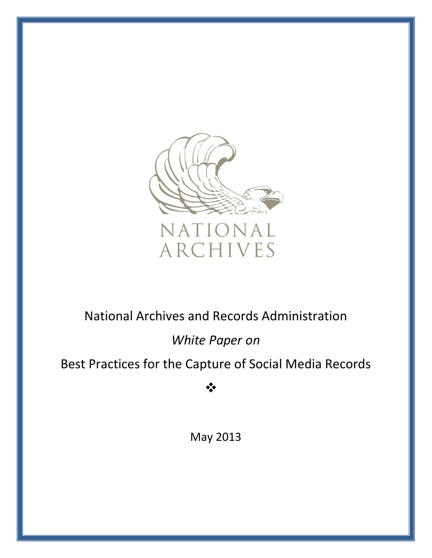

# *White Paper on*

# Best Practices for the Capture of Social Media Records

❖

May 2013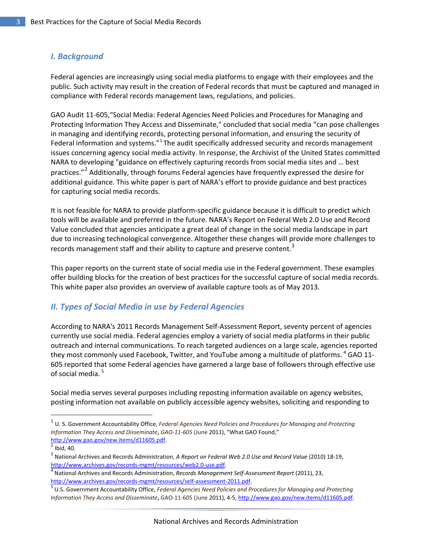### <span id="page-2-0"></span>*I. Background*

Federal agencies are increasingly using social media platforms to engage with their employees and the public. Such activity may result in the creation of Federal records that must be captured and managed in compliance with Federal records management laws, regulations, and policies.

GAO Audit 11-605,"Social Media: Federal Agencies Need Policies and Procedures for Managing and Protecting Information They Access and Disseminate," concluded that social media "can pose challenges in managing and identifying records, protecting personal information, and ensuring the security of Federal information and systems."<sup>[1](#page-2-2)</sup> The audit specifically addressed security and records management issues concerning agency social media activity. In response, the Archivist of the United States committed NARA to developing "guidance on effectively capturing records from social media sites and … best practices."<sup>[2](#page-2-3)</sup> Additionally, through forums Federal agencies have frequently expressed the desire for additional guidance. This white paper is part of NARA's effort to provide guidance and best practices for capturing social media records.

It is not feasible for NARA to provide platform-specific guidance because it is difficult to predict which tools will be available and preferred in the future. NARA's Report on Federal Web 2.0 Use and Record Value concluded that agencies anticipate a great deal of change in the social media landscape in part due to increasing technological convergence. Altogether these changes will provide more challenges to records management staff and their ability to capture and preserve content.<sup>[3](#page-2-4)</sup>

This paper reports on the current state of social media use in the Federal government. These examples offer building blocks for the creation of best practices for the successful capture of social media records. This white paper also provides an overview of available capture tools as of May 2013.

### <span id="page-2-1"></span>*II. Types of Social Media in use by Federal Agencies*

According to NARA's 2011 Records Management Self-Assessment Report, seventy percent of agencies currently use social media. Federal agencies employ a variety of social media platforms in their public outreach and internal communications. To reach targeted audiences on a large scale, agencies reported they most commonly used Facebook, Twitter, and YouTube among a multitude of platforms. <sup>[4](#page-2-5)</sup> GAO 11-605 reported that some Federal agencies have garnered a large base of followers through effective use of social media.<sup>[5](#page-2-6)</sup>

Social media serves several purposes including reposting information available on agency websites, posting information not available on publicly accessible agency websites, soliciting and responding to

 $\overline{\phantom{a}}$ 

<span id="page-2-2"></span><sup>1</sup> U. S. Government Accountability Office, *Federal Agencies Need Policies and Procedures for Managing and Protecting Information They Access and Disseminate***,** *GAO-11-605* (June 2011), "What GAO Found," [http://www.gao.gov/new.items/d11605.pdf.](http://www.gao.gov/new.items/d11605.pdf)<br><sup>2</sup> Ibid, 40.

<span id="page-2-4"></span><span id="page-2-3"></span><sup>3</sup> National Archives and Records Administration, *A Report on Federal Web 2.0 Use and Record Value* (2010) 18-19, [http://www.archives.gov/records-mgmt/resources/web2.0-use.pdf.](http://www.archives.gov/records-mgmt/resources/web2.0-use.pdf) [4](http://www.archives.gov/records-mgmt/resources/web2.0-use.pdf) National Archives and Records Administration, *Records Management Self-Assessment Report* (2011), 23,

<span id="page-2-5"></span>[http://www.archives.gov/records-mgmt/resources/self-assessment-2011.pdf.](http://www.archives.gov/records-mgmt/resources/self-assessment-2011.pdf)

<span id="page-2-6"></span>U.S. Government Accountability Office, *Federal Agencies Need Policies and Procedures for Managing and Protecting Information They Access and Disseminate***,** GAO-11-605 (June 2011), 4-5, [http://www.gao.gov/new.items/d11605.pdf.](http://www.gao.gov/new.items/d11605.pdf)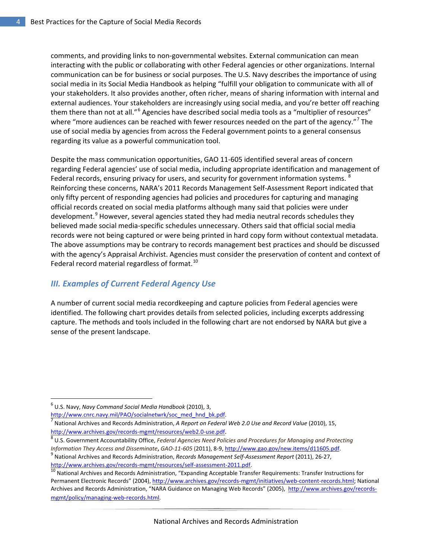comments, and providing links to non-governmental websites. External communication can mean interacting with the public or collaborating with other Federal agencies or other organizations. Internal communication can be for business or social purposes. The U.S. Navy describes the importance of using social media in its Social Media Handbook as helping "fulfill your obligation to communicate with all of your stakeholders. It also provides another, often richer, means of sharing information with internal and external audiences. Your stakeholders are increasingly using social media, and you're better off reaching them there than not at all."<sup>[6](#page-3-1)</sup> Agencies have described social media tools as a "multiplier of resources" where "more audiences can be reached with fewer resources needed on the part of the agency."<sup>[7](#page-3-2)</sup> The use of social media by agencies from across the Federal government points to a general consensus regarding its value as a powerful communication tool.

Despite the mass communication opportunities, GAO 11-605 identified several areas of concern regarding Federal agencies' use of social media, including appropriate identification and management of Federal records, ensuring privacy for users, and security for government information systems. <sup>[8](#page-3-3)</sup> Reinforcing these concerns, NARA's 2011 Records Management Self-Assessment Report indicated that only fifty percent of responding agencies had policies and procedures for capturing and managing official records created on social media platforms although many said that policies were under development.<sup>[9](#page-3-4)</sup> However, several agencies stated they had media neutral records schedules they believed made social media-specific schedules unnecessary. Others said that official social media records were not being captured or were being printed in hard copy form without contextual metadata. The above assumptions may be contrary to records management best practices and should be discussed with the agency's Appraisal Archivist. Agencies must consider the preservation of content and context of Federal record material regardless of format.<sup>[10](#page-3-5)</sup>

#### <span id="page-3-0"></span>*III. Examples of Current Federal Agency Use*

A number of current social media recordkeeping and capture policies from Federal agencies were identified. The following chart provides details from selected policies, including excerpts addressing capture. The methods and tools included in the following chart are not endorsed by NARA but give a sense of the present landscape.

 $\overline{\phantom{a}}$ 

<span id="page-3-3"></span> U.S. Government Accountability Office, *Federal Agencies Need Policies and Procedures for Managing and Protecting*  Information They Access and Disseminate, GAO-11-605 (2011), 8-9, [http://www.gao.gov/new.items/d11605.pdf.](http://www.gao.gov/new.items/d11605.pdf)<br><sup>9</sup> National Archives and Records Administration, Records Management Self-Assessment Report (2011), 26-27,

<span id="page-3-1"></span><sup>6</sup> U.S. Navy, *Navy Command Social Media Handbook* (2010), 3,

<span id="page-3-2"></span>[http://www.cnrc.navy.mil/PAO/socialnetwrk/soc\\_med\\_hnd\\_bk.pdf.](http://www.cnrc.navy.mil/PAO/socialnetwrk/soc_med_hnd_bk.pdf)<br><sup>7</sup> National Archives and Records Administration, *A Report on Federal Web 2.0 Use and Record Value* (2010), 15, [http://www.archives.gov/records-mgmt/resources/web2.0-use.pdf.](http://www.archives.gov/records-mgmt/resources/web2.0-use.pdf) [8](http://www.archives.gov/records-mgmt/resources/web2.0-use.pdf)

<span id="page-3-4"></span>

<span id="page-3-5"></span>[http://www.archives.gov/records-mgmt/resources/self-assessment-2011.pdf.](http://www.archives.gov/records-mgmt/resources/self-assessment-2011.pdf)<br><sup>[10](http://www.archives.gov/records-mgmt/resources/self-assessment-2011.pdf)</sup> National Archives and Records Administration, "Expanding Acceptable Transfer Requirements: Transfer Instructions for Permanent Electronic Records" (2004)[, http://www.archives.gov/records-mgmt/initiatives/web-content-records.html;](http://www.archives.gov/records-mgmt/initiatives/web-content-records.html) National Archives and Records Administration, "NARA Guidance on Managing Web Records" (2005), [http://www.archives.gov/records](http://www.archives.gov/records-mgmt/policy/managing-web-records.html)[mgmt/policy/managing-web-records.html.](http://www.archives.gov/records-mgmt/policy/managing-web-records.html)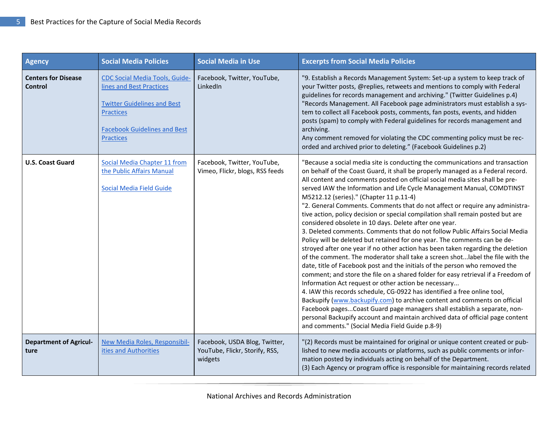| <b>Agency</b>                                | <b>Social Media Policies</b>                                                                                                                                                           | <b>Social Media in Use</b>                                                 | <b>Excerpts from Social Media Policies</b>                                                                                                                                                                                                                                                                                                                                                                                                                                                                                                                                                                                                                                                                                                                                                                                                                                                                                                                                                                                                                                                                                                                                                                                                                                                                                                                                                                                                                                                                                                 |
|----------------------------------------------|----------------------------------------------------------------------------------------------------------------------------------------------------------------------------------------|----------------------------------------------------------------------------|--------------------------------------------------------------------------------------------------------------------------------------------------------------------------------------------------------------------------------------------------------------------------------------------------------------------------------------------------------------------------------------------------------------------------------------------------------------------------------------------------------------------------------------------------------------------------------------------------------------------------------------------------------------------------------------------------------------------------------------------------------------------------------------------------------------------------------------------------------------------------------------------------------------------------------------------------------------------------------------------------------------------------------------------------------------------------------------------------------------------------------------------------------------------------------------------------------------------------------------------------------------------------------------------------------------------------------------------------------------------------------------------------------------------------------------------------------------------------------------------------------------------------------------------|
| <b>Centers for Disease</b><br><b>Control</b> | <b>CDC Social Media Tools, Guide-</b><br>lines and Best Practices<br><b>Twitter Guidelines and Best</b><br><b>Practices</b><br><b>Facebook Guidelines and Best</b><br><b>Practices</b> | Facebook, Twitter, YouTube,<br>LinkedIn                                    | "9. Establish a Records Management System: Set-up a system to keep track of<br>your Twitter posts, @replies, retweets and mentions to comply with Federal<br>guidelines for records management and archiving." (Twitter Guidelines p.4)<br>"Records Management. All Facebook page administrators must establish a sys-<br>tem to collect all Facebook posts, comments, fan posts, events, and hidden<br>posts (spam) to comply with Federal guidelines for records management and<br>archiving.<br>Any comment removed for violating the CDC commenting policy must be rec-<br>orded and archived prior to deleting." (Facebook Guidelines p.2)                                                                                                                                                                                                                                                                                                                                                                                                                                                                                                                                                                                                                                                                                                                                                                                                                                                                                            |
| <b>U.S. Coast Guard</b>                      | Social Media Chapter 11 from<br>the Public Affairs Manual<br>Social Media Field Guide                                                                                                  | Facebook, Twitter, YouTube,<br>Vimeo, Flickr, blogs, RSS feeds             | "Because a social media site is conducting the communications and transaction<br>on behalf of the Coast Guard, it shall be properly managed as a Federal record.<br>All content and comments posted on official social media sites shall be pre-<br>served IAW the Information and Life Cycle Management Manual, COMDTINST<br>M5212.12 (series)." (Chapter 11 p.11-4)<br>"2. General Comments. Comments that do not affect or require any administra-<br>tive action, policy decision or special compilation shall remain posted but are<br>considered obsolete in 10 days. Delete after one year.<br>3. Deleted comments. Comments that do not follow Public Affairs Social Media<br>Policy will be deleted but retained for one year. The comments can be de-<br>stroyed after one year if no other action has been taken regarding the deletion<br>of the comment. The moderator shall take a screen shotlabel the file with the<br>date, title of Facebook post and the initials of the person who removed the<br>comment; and store the file on a shared folder for easy retrieval if a Freedom of<br>Information Act request or other action be necessary<br>4. IAW this records schedule, CG-0922 has identified a free online tool,<br>Backupify (www.backupify.com) to archive content and comments on official<br>Facebook pages Coast Guard page managers shall establish a separate, non-<br>personal Backupify account and maintain archived data of official page content<br>and comments." (Social Media Field Guide p.8-9) |
| <b>Department of Agricul-</b><br>ture        | New Media Roles, Responsibil-<br>ities and Authorities                                                                                                                                 | Facebook, USDA Blog, Twitter,<br>YouTube, Flickr, Storify, RSS,<br>widgets | "(2) Records must be maintained for original or unique content created or pub-<br>lished to new media accounts or platforms, such as public comments or infor-<br>mation posted by individuals acting on behalf of the Department.<br>(3) Each Agency or program office is responsible for maintaining records related                                                                                                                                                                                                                                                                                                                                                                                                                                                                                                                                                                                                                                                                                                                                                                                                                                                                                                                                                                                                                                                                                                                                                                                                                     |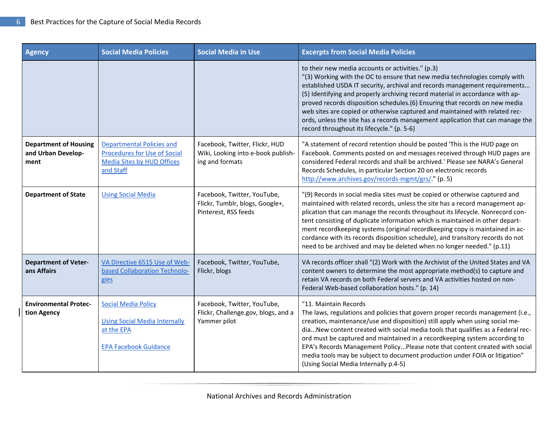| <b>Agency</b>                                              | <b>Social Media Policies</b>                                                                                              | <b>Social Media in Use</b>                                                              | <b>Excerpts from Social Media Policies</b>                                                                                                                                                                                                                                                                                                                                                                                                                                                                                                                                                   |
|------------------------------------------------------------|---------------------------------------------------------------------------------------------------------------------------|-----------------------------------------------------------------------------------------|----------------------------------------------------------------------------------------------------------------------------------------------------------------------------------------------------------------------------------------------------------------------------------------------------------------------------------------------------------------------------------------------------------------------------------------------------------------------------------------------------------------------------------------------------------------------------------------------|
|                                                            |                                                                                                                           |                                                                                         | to their new media accounts or activities." (p.3)<br>"(3) Working with the OC to ensure that new media technologies comply with<br>established USDA IT security, archival and records management requirements<br>(5) Identifying and properly archiving record material in accordance with ap-<br>proved records disposition schedules.(6) Ensuring that records on new media<br>web sites are copied or otherwise captured and maintained with related rec-<br>ords, unless the site has a records management application that can manage the<br>record throughout its lifecycle." (p. 5-6) |
| <b>Department of Housing</b><br>and Urban Develop-<br>ment | <b>Departmental Policies and</b><br><b>Procedures for Use of Social</b><br><b>Media Sites by HUD Offices</b><br>and Staff | Facebook, Twitter, Flickr, HUD<br>Wiki, Looking into e-book publish-<br>ing and formats | "A statement of record retention should be posted 'This is the HUD page on<br>Facebook. Comments posted on and messages received through HUD pages are<br>considered Federal records and shall be archived.' Please see NARA's General<br>Records Schedules, in particular Section 20 on electronic records<br>http://www.archives.gov/records-mgmt/grs/." (p. 5)                                                                                                                                                                                                                            |
| <b>Department of State</b>                                 | <b>Using Social Media</b>                                                                                                 | Facebook, Twitter, YouTube,<br>Flickr, Tumblr, blogs, Google+,<br>Pinterest, RSS feeds  | "(9) Records in social media sites must be copied or otherwise captured and<br>maintained with related records, unless the site has a record management ap-<br>plication that can manage the records throughout its lifecycle. Nonrecord con-<br>tent consisting of duplicate information which is maintained in other depart-<br>ment recordkeeping systems (original recordkeeping copy is maintained in ac-<br>cordance with its records disposition schedule), and transitory records do not<br>need to be archived and may be deleted when no longer needed." (p.11)                    |
| <b>Department of Veter-</b><br>ans Affairs                 | VA Directive 6515 Use of Web-<br>based Collaboration Technolo-<br>gies                                                    | Facebook, Twitter, YouTube,<br>Flickr, blogs                                            | VA records officer shall "(2) Work with the Archivist of the United States and VA<br>content owners to determine the most appropriate method(s) to capture and<br>retain VA records on both Federal servers and VA activities hosted on non-<br>Federal Web-based collaboration hosts." (p. 14)                                                                                                                                                                                                                                                                                              |
| <b>Environmental Protec-</b><br>tion Agency                | <b>Social Media Policy</b><br><b>Using Social Media Internally</b><br>at the EPA<br><b>EPA Facebook Guidance</b>          | Facebook, Twitter, YouTube,<br>Flickr, Challenge.gov, blogs, and a<br>Yammer pilot      | "11. Maintain Records<br>The laws, regulations and policies that govern proper records management (i.e.,<br>creation, maintenance/use and disposition) still apply when using social me-<br>diaNew content created with social media tools that qualifies as a Federal rec-<br>ord must be captured and maintained in a recordkeeping system according to<br>EPA's Records Management PolicyPlease note that content created with social<br>media tools may be subject to document production under FOIA or litigation"<br>(Using Social Media Internally p.4-5)                             |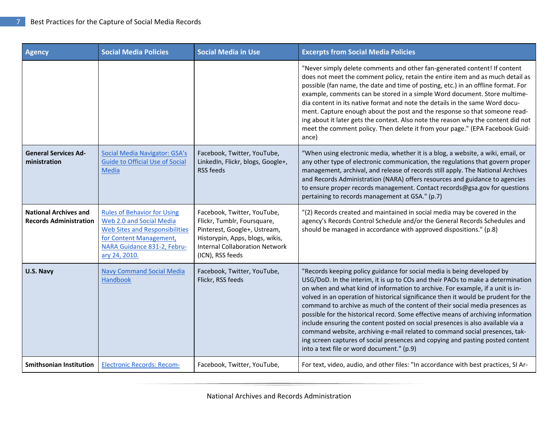| <b>Agency</b>                                                 | <b>Social Media Policies</b>                                                                                                                                                       | <b>Social Media in Use</b>                                                                                                                                                                 | <b>Excerpts from Social Media Policies</b>                                                                                                                                                                                                                                                                                                                                                                                                                                                                                                                                                                                                                                                                                                                                                               |
|---------------------------------------------------------------|------------------------------------------------------------------------------------------------------------------------------------------------------------------------------------|--------------------------------------------------------------------------------------------------------------------------------------------------------------------------------------------|----------------------------------------------------------------------------------------------------------------------------------------------------------------------------------------------------------------------------------------------------------------------------------------------------------------------------------------------------------------------------------------------------------------------------------------------------------------------------------------------------------------------------------------------------------------------------------------------------------------------------------------------------------------------------------------------------------------------------------------------------------------------------------------------------------|
|                                                               |                                                                                                                                                                                    |                                                                                                                                                                                            | "Never simply delete comments and other fan-generated content! If content<br>does not meet the comment policy, retain the entire item and as much detail as<br>possible (fan name, the date and time of posting, etc.) in an offline format. For<br>example, comments can be stored in a simple Word document. Store multime-<br>dia content in its native format and note the details in the same Word docu-<br>ment. Capture enough about the post and the response so that someone read-<br>ing about it later gets the context. Also note the reason why the content did not<br>meet the comment policy. Then delete it from your page." (EPA Facebook Guid-<br>ance)                                                                                                                                |
| <b>General Services Ad-</b><br>ministration                   | Social Media Navigator: GSA's<br><b>Guide to Official Use of Social</b><br><b>Media</b>                                                                                            | Facebook, Twitter, YouTube,<br>LinkedIn, Flickr, blogs, Google+,<br>RSS feeds                                                                                                              | "When using electronic media, whether it is a blog, a website, a wiki, email, or<br>any other type of electronic communication, the regulations that govern proper<br>management, archival, and release of records still apply. The National Archives<br>and Records Administration (NARA) offers resources and guidance to agencies<br>to ensure proper records management. Contact records@gsa.gov for questions<br>pertaining to records management at GSA." (p.7)                                                                                                                                                                                                                                                                                                                                    |
| <b>National Archives and</b><br><b>Records Administration</b> | <b>Rules of Behavior for Using</b><br>Web 2.0 and Social Media<br><b>Web Sites and Responsibilities</b><br>for Content Management,<br>NARA Guidance 831-2, Febru-<br>ary 24, 2010. | Facebook, Twitter, YouTube,<br>Flickr, Tumblr, Foursquare,<br>Pinterest, Google+, Ustream,<br>Historypin, Apps, blogs, wikis,<br><b>Internal Collaboration Network</b><br>(ICN), RSS feeds | "(2) Records created and maintained in social media may be covered in the<br>agency's Records Control Schedule and/or the General Records Schedules and<br>should be managed in accordance with approved dispositions." (p.8)                                                                                                                                                                                                                                                                                                                                                                                                                                                                                                                                                                            |
| U.S. Navy                                                     | <b>Navy Command Social Media</b><br>Handbook                                                                                                                                       | Facebook, Twitter, YouTube,<br>Flickr, RSS feeds                                                                                                                                           | "Records keeping policy guidance for social media is being developed by<br>USG/DoD. In the interim, it is up to COs and their PAOs to make a determination<br>on when and what kind of information to archive. For example, if a unit is in-<br>volved in an operation of historical significance then it would be prudent for the<br>command to archive as much of the content of their social media presences as<br>possible for the historical record. Some effective means of archiving information<br>include ensuring the content posted on social presences is also available via a<br>command website, archiving e-mail related to command social presences, tak-<br>ing screen captures of social presences and copying and pasting posted content<br>into a text file or word document." (p.9) |
| <b>Smithsonian Institution</b>                                | <b>Electronic Records: Recom-</b>                                                                                                                                                  | Facebook, Twitter, YouTube,                                                                                                                                                                | For text, video, audio, and other files: "In accordance with best practices, SI Ar-                                                                                                                                                                                                                                                                                                                                                                                                                                                                                                                                                                                                                                                                                                                      |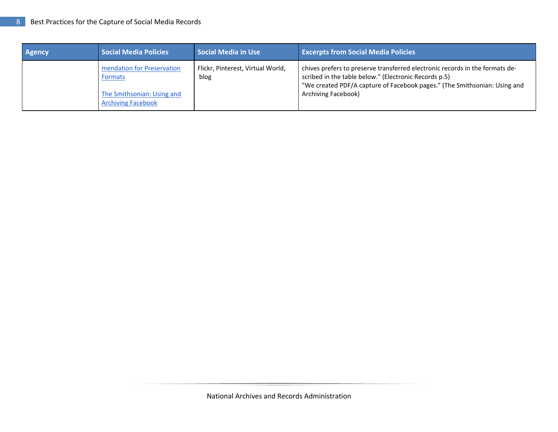| <b>Agency</b> | <b>Social Media Policies</b>                                                                     | Social Media in Use                       | <b>Excerpts from Social Media Policies</b>                                                                                                                                                                                                |
|---------------|--------------------------------------------------------------------------------------------------|-------------------------------------------|-------------------------------------------------------------------------------------------------------------------------------------------------------------------------------------------------------------------------------------------|
|               | mendation for Preservation<br>Formats<br>The Smithsonian: Using and<br><b>Archiving Facebook</b> | Flickr, Pinterest, Virtual World,<br>blog | chives prefers to preserve transferred electronic records in the formats de-<br>scribed in the table below." (Electronic Records p.5)<br>"We created PDF/A capture of Facebook pages." (The Smithsonian: Using and<br>Archiving Facebook) |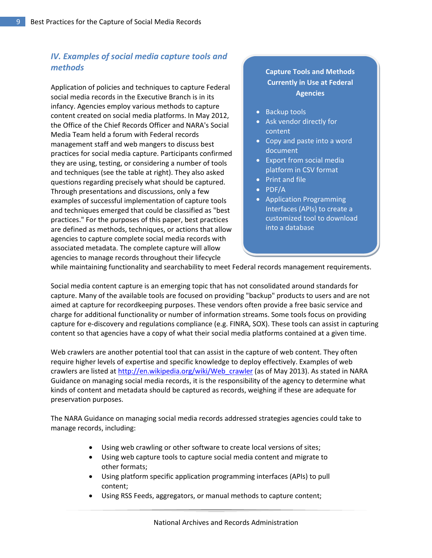# <span id="page-8-0"></span>*IV. Examples of social media capture tools and methods*

Application of policies and techniques to capture Federal social media records in the Executive Branch is in its infancy. Agencies employ various methods to capture content created on social media platforms. In May 2012, the Office of the Chief Records Officer and NARA's Social Media Team held a forum with Federal records management staff and web mangers to discuss best practices for social media capture. Participants confirmed they are using, testing, or considering a number of tools and techniques (see the table at right). They also asked questions regarding precisely what should be captured. Through presentations and discussions, only a few examples of successful implementation of capture tools and techniques emerged that could be classified as "best practices." For the purposes of this paper, best practices are defined as methods, techniques, or actions that allow agencies to capture complete social media records with associated metadata. The complete capture will allow agencies to manage records throughout their lifecycle

## **Capture Tools and Methods Currently in Use at Federal Agencies**

- Backup tools
- Ask vendor directly for content
- Copy and paste into a word document
- Export from social media platform in CSV format
- Print and file
- PDF/A
- Application Programming Interfaces (APIs) to create a customized tool to download into a database

while maintaining functionality and searchability to meet Federal records management requirements.

Social media content capture is an emerging topic that has not consolidated around standards for capture. Many of the available tools are focused on providing "backup" products to users and are not aimed at capture for recordkeeping purposes. These vendors often provide a free basic service and charge for additional functionality or number of information streams. Some tools focus on providing capture for e-discovery and regulations compliance (e.g. FINRA, SOX). These tools can assist in capturing content so that agencies have a copy of what their social media platforms contained at a given time.

Web crawlers are another potential tool that can assist in the capture of web content. They often require higher levels of expertise and specific knowledge to deploy effectively. Examples of web crawlers are listed at [http://en.wikipedia.org/wiki/Web\\_crawler](http://en.wikipedia.org/wiki/Web_crawler) (as of May 2013). As stated in NARA Guidance on managing social media records, it is the responsibility of the agency to determine what kinds of content and metadata should be captured as records, weighing if these are adequate for preservation purposes.

The NARA Guidance on managing social media records addressed strategies agencies could take to manage records, including:

- Using web crawling or other software to create local versions of sites;
- Using web capture tools to capture social media content and migrate to other formats;
- Using platform specific application programming interfaces (APIs) to pull content;
- Using RSS Feeds, aggregators, or manual methods to capture content;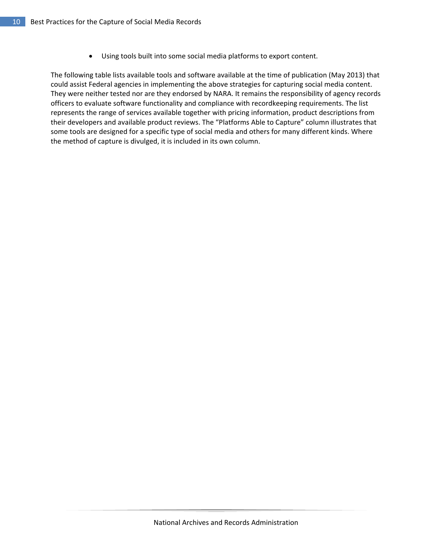• Using tools built into some social media platforms to export content.

The following table lists available tools and software available at the time of publication (May 2013) that could assist Federal agencies in implementing the above strategies for capturing social media content. They were neither tested nor are they endorsed by NARA. It remains the responsibility of agency records officers to evaluate software functionality and compliance with recordkeeping requirements. The list represents the range of services available together with pricing information, product descriptions from their developers and available product reviews. The "Platforms Able to Capture" column illustrates that some tools are designed for a specific type of social media and others for many different kinds. Where the method of capture is divulged, it is included in its own column.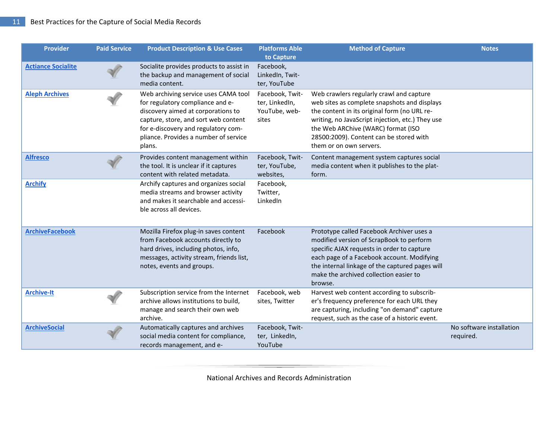| <b>Provider</b>           | <b>Paid Service</b> | <b>Product Description &amp; Use Cases</b>                                                                                                                                                                                                       | <b>Platforms Able</b><br>to Capture                         | <b>Method of Capture</b>                                                                                                                                                                                                                                                                                 | <b>Notes</b>                          |
|---------------------------|---------------------|--------------------------------------------------------------------------------------------------------------------------------------------------------------------------------------------------------------------------------------------------|-------------------------------------------------------------|----------------------------------------------------------------------------------------------------------------------------------------------------------------------------------------------------------------------------------------------------------------------------------------------------------|---------------------------------------|
| <b>Actiance Socialite</b> |                     | Socialite provides products to assist in<br>the backup and management of social<br>media content.                                                                                                                                                | Facebook,<br>LinkedIn, Twit-<br>ter, YouTube                |                                                                                                                                                                                                                                                                                                          |                                       |
| <b>Aleph Archives</b>     |                     | Web archiving service uses CAMA tool<br>for regulatory compliance and e-<br>discovery aimed at corporations to<br>capture, store, and sort web content<br>for e-discovery and regulatory com-<br>pliance. Provides a number of service<br>plans. | Facebook, Twit-<br>ter, LinkedIn,<br>YouTube, web-<br>sites | Web crawlers regularly crawl and capture<br>web sites as complete snapshots and displays<br>the content in its original form (no URL re-<br>writing, no JavaScript injection, etc.) They use<br>the Web ARChive (WARC) format (ISO<br>28500:2009). Content can be stored with<br>them or on own servers. |                                       |
| <b>Alfresco</b>           |                     | Provides content management within<br>the tool. It is unclear if it captures<br>content with related metadata.                                                                                                                                   | Facebook, Twit-<br>ter, YouTube,<br>websites,               | Content management system captures social<br>media content when it publishes to the plat-<br>form.                                                                                                                                                                                                       |                                       |
| <b>Archify</b>            |                     | Archify captures and organizes social<br>media streams and browser activity<br>and makes it searchable and accessi-<br>ble across all devices.                                                                                                   | Facebook,<br>Twitter,<br>LinkedIn                           |                                                                                                                                                                                                                                                                                                          |                                       |
| <b>ArchiveFacebook</b>    |                     | Mozilla Firefox plug-in saves content<br>from Facebook accounts directly to<br>hard drives, including photos, info,<br>messages, activity stream, friends list,<br>notes, events and groups.                                                     | Facebook                                                    | Prototype called Facebook Archiver uses a<br>modified version of ScrapBook to perform<br>specific AJAX requests in order to capture<br>each page of a Facebook account. Modifying<br>the internal linkage of the captured pages will<br>make the archived collection easier to<br>browse.                |                                       |
| <b>Archive-It</b>         |                     | Subscription service from the Internet<br>archive allows institutions to build,<br>manage and search their own web<br>archive.                                                                                                                   | Facebook, web<br>sites, Twitter                             | Harvest web content according to subscrib-<br>er's frequency preference for each URL they<br>are capturing, including "on demand" capture<br>request, such as the case of a historic event.                                                                                                              |                                       |
| <b>ArchiveSocial</b>      |                     | Automatically captures and archives<br>social media content for compliance,<br>records management, and e-                                                                                                                                        | Facebook, Twit-<br>ter, LinkedIn,<br>YouTube                |                                                                                                                                                                                                                                                                                                          | No software installation<br>required. |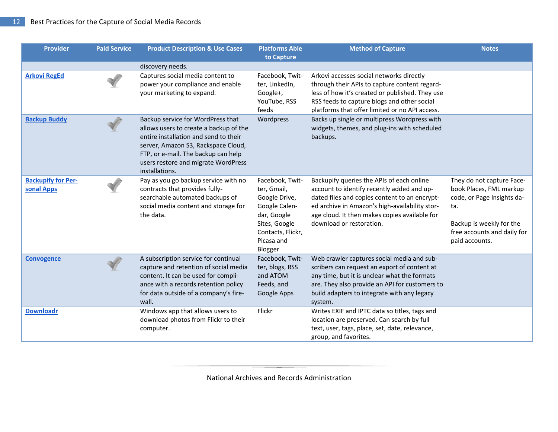| <b>Provider</b>                         | <b>Paid Service</b> | <b>Product Description &amp; Use Cases</b>                                                                                                                                                                                                                  | <b>Platforms Able</b><br>to Capture                                                                                                            | <b>Method of Capture</b>                                                                                                                                                                                                                                                | <b>Notes</b>                                                                                                                                                           |
|-----------------------------------------|---------------------|-------------------------------------------------------------------------------------------------------------------------------------------------------------------------------------------------------------------------------------------------------------|------------------------------------------------------------------------------------------------------------------------------------------------|-------------------------------------------------------------------------------------------------------------------------------------------------------------------------------------------------------------------------------------------------------------------------|------------------------------------------------------------------------------------------------------------------------------------------------------------------------|
|                                         |                     | discovery needs.                                                                                                                                                                                                                                            |                                                                                                                                                |                                                                                                                                                                                                                                                                         |                                                                                                                                                                        |
| <b>Arkovi RegEd</b>                     |                     | Captures social media content to<br>power your compliance and enable<br>your marketing to expand.                                                                                                                                                           | Facebook, Twit-<br>ter, LinkedIn,<br>Google+,<br>YouTube, RSS<br>feeds                                                                         | Arkovi accesses social networks directly<br>through their APIs to capture content regard-<br>less of how it's created or published. They use<br>RSS feeds to capture blogs and other social<br>platforms that offer limited or no API access.                           |                                                                                                                                                                        |
| <b>Backup Buddy</b>                     |                     | Backup service for WordPress that<br>allows users to create a backup of the<br>entire installation and send to their<br>server, Amazon S3, Rackspace Cloud,<br>FTP, or e-mail. The backup can help<br>users restore and migrate WordPress<br>installations. | Wordpress                                                                                                                                      | Backs up single or multipress Wordpress with<br>widgets, themes, and plug-ins with scheduled<br>backups.                                                                                                                                                                |                                                                                                                                                                        |
| <b>Backupify for Per-</b><br>sonal Apps |                     | Pay as you go backup service with no<br>contracts that provides fully-<br>searchable automated backups of<br>social media content and storage for<br>the data.                                                                                              | Facebook, Twit-<br>ter, Gmail,<br>Google Drive,<br>Google Calen-<br>dar, Google<br>Sites, Google<br>Contacts, Flickr,<br>Picasa and<br>Blogger | Backupify queries the APIs of each online<br>account to identify recently added and up-<br>dated files and copies content to an encrypt-<br>ed archive in Amazon's high-availability stor-<br>age cloud. It then makes copies available for<br>download or restoration. | They do not capture Face-<br>book Places, FML markup<br>code, or Page Insights da-<br>ta.<br>Backup is weekly for the<br>free accounts and daily for<br>paid accounts. |
| <b>Convogence</b>                       |                     | A subscription service for continual<br>capture and retention of social media<br>content. It can be used for compli-<br>ance with a records retention policy<br>for data outside of a company's fire-<br>wall.                                              | Facebook, Twit-<br>ter, blogs, RSS<br>and ATOM<br>Feeds, and<br>Google Apps                                                                    | Web crawler captures social media and sub-<br>scribers can request an export of content at<br>any time, but it is unclear what the formats<br>are. They also provide an API for customers to<br>build adapters to integrate with any legacy<br>system.                  |                                                                                                                                                                        |
| <b>Downloadr</b>                        |                     | Windows app that allows users to<br>download photos from Flickr to their<br>computer.                                                                                                                                                                       | Flickr                                                                                                                                         | Writes EXIF and IPTC data so titles, tags and<br>location are preserved. Can search by full<br>text, user, tags, place, set, date, relevance,<br>group, and favorites.                                                                                                  |                                                                                                                                                                        |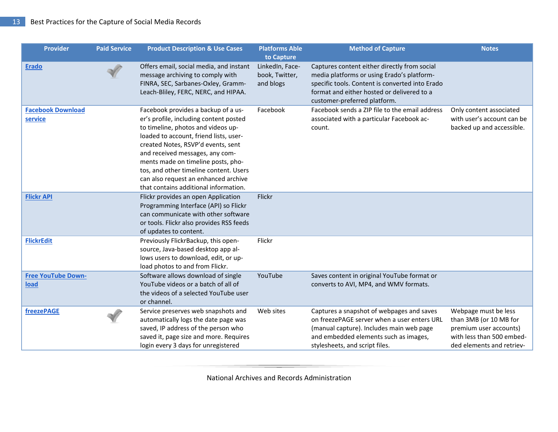| <b>Provider</b>                     | <b>Paid Service</b> | <b>Product Description &amp; Use Cases</b>                                                                                                                                                                                                                                                                                                                                                              | <b>Platforms Able</b><br>to Capture            | <b>Method of Capture</b>                                                                                                                                                                                                    | <b>Notes</b>                                                                                                                       |
|-------------------------------------|---------------------|---------------------------------------------------------------------------------------------------------------------------------------------------------------------------------------------------------------------------------------------------------------------------------------------------------------------------------------------------------------------------------------------------------|------------------------------------------------|-----------------------------------------------------------------------------------------------------------------------------------------------------------------------------------------------------------------------------|------------------------------------------------------------------------------------------------------------------------------------|
| <b>Erado</b>                        |                     | Offers email, social media, and instant<br>message archiving to comply with<br>FINRA, SEC, Sarbanes-Oxley, Gramm-<br>Leach-Bliley, FERC, NERC, and HIPAA.                                                                                                                                                                                                                                               | LinkedIn, Face-<br>book, Twitter,<br>and blogs | Captures content either directly from social<br>media platforms or using Erado's platform-<br>specific tools. Content is converted into Erado<br>format and either hosted or delivered to a<br>customer-preferred platform. |                                                                                                                                    |
| <b>Facebook Download</b><br>service |                     | Facebook provides a backup of a us-<br>er's profile, including content posted<br>to timeline, photos and videos up-<br>loaded to account, friend lists, user-<br>created Notes, RSVP'd events, sent<br>and received messages, any com-<br>ments made on timeline posts, pho-<br>tos, and other timeline content. Users<br>can also request an enhanced archive<br>that contains additional information. | Facebook                                       | Facebook sends a ZIP file to the email address<br>associated with a particular Facebook ac-<br>count.                                                                                                                       | Only content associated<br>with user's account can be<br>backed up and accessible.                                                 |
| <b>Flickr API</b>                   |                     | Flickr provides an open Application<br>Programming Interface (API) so Flickr<br>can communicate with other software<br>or tools. Flickr also provides RSS feeds<br>of updates to content.                                                                                                                                                                                                               | Flickr                                         |                                                                                                                                                                                                                             |                                                                                                                                    |
| <b>FlickrEdit</b>                   |                     | Previously FlickrBackup, this open-<br>source, Java-based desktop app al-<br>lows users to download, edit, or up-<br>load photos to and from Flickr.                                                                                                                                                                                                                                                    | Flickr                                         |                                                                                                                                                                                                                             |                                                                                                                                    |
| <b>Free YouTube Down-</b><br>load   |                     | Software allows download of single<br>YouTube videos or a batch of all of<br>the videos of a selected YouTube user<br>or channel.                                                                                                                                                                                                                                                                       | YouTube                                        | Saves content in original YouTube format or<br>converts to AVI, MP4, and WMV formats.                                                                                                                                       |                                                                                                                                    |
| freezePAGE                          |                     | Service preserves web snapshots and<br>automatically logs the date page was<br>saved, IP address of the person who<br>saved it, page size and more. Requires<br>login every 3 days for unregistered                                                                                                                                                                                                     | Web sites                                      | Captures a snapshot of webpages and saves<br>on freezePAGE server when a user enters URL<br>(manual capture). Includes main web page<br>and embedded elements such as images,<br>stylesheets, and script files.             | Webpage must be less<br>than 3MB (or 10 MB for<br>premium user accounts)<br>with less than 500 embed-<br>ded elements and retriev- |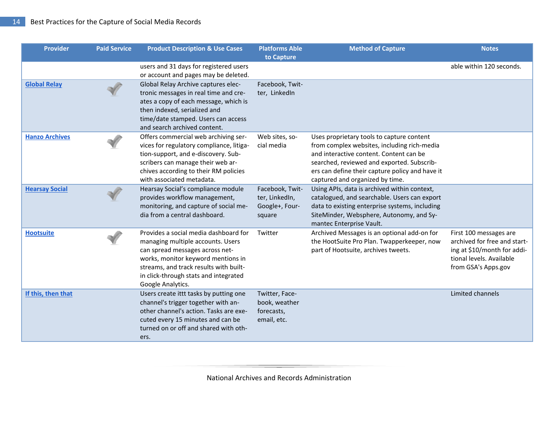| <b>Provider</b>       | <b>Paid Service</b> | <b>Product Description &amp; Use Cases</b>                                                                                                                                                                                                                  | <b>Platforms Able</b>                                         | <b>Method of Capture</b>                                                                                                                                                                                                                                                | <b>Notes</b>                                                                                                                             |
|-----------------------|---------------------|-------------------------------------------------------------------------------------------------------------------------------------------------------------------------------------------------------------------------------------------------------------|---------------------------------------------------------------|-------------------------------------------------------------------------------------------------------------------------------------------------------------------------------------------------------------------------------------------------------------------------|------------------------------------------------------------------------------------------------------------------------------------------|
|                       |                     | users and 31 days for registered users<br>or account and pages may be deleted.                                                                                                                                                                              | to Capture                                                    |                                                                                                                                                                                                                                                                         | able within 120 seconds.                                                                                                                 |
| <b>Global Relay</b>   |                     | Global Relay Archive captures elec-<br>tronic messages in real time and cre-<br>ates a copy of each message, which is<br>then indexed, serialized and<br>time/date stamped. Users can access<br>and search archived content.                                | Facebook, Twit-<br>ter, LinkedIn                              |                                                                                                                                                                                                                                                                         |                                                                                                                                          |
| <b>Hanzo Archives</b> |                     | Offers commercial web archiving ser-<br>vices for regulatory compliance, litiga-<br>tion-support, and e-discovery. Sub-<br>scribers can manage their web ar-<br>chives according to their RM policies<br>with associated metadata.                          | Web sites, so-<br>cial media                                  | Uses proprietary tools to capture content<br>from complex websites, including rich-media<br>and interactive content. Content can be<br>searched, reviewed and exported. Subscrib-<br>ers can define their capture policy and have it<br>captured and organized by time. |                                                                                                                                          |
| <b>Hearsay Social</b> |                     | Hearsay Social's compliance module<br>provides workflow management,<br>monitoring, and capture of social me-<br>dia from a central dashboard.                                                                                                               | Facebook, Twit-<br>ter, LinkedIn,<br>Google+, Four-<br>square | Using APIs, data is archived within context,<br>catalogued, and searchable. Users can export<br>data to existing enterprise systems, including<br>SiteMinder, Websphere, Autonomy, and Sy-<br>mantec Enterprise Vault.                                                  |                                                                                                                                          |
| <b>Hootsuite</b>      |                     | Provides a social media dashboard for<br>managing multiple accounts. Users<br>can spread messages across net-<br>works, monitor keyword mentions in<br>streams, and track results with built-<br>in click-through stats and integrated<br>Google Analytics. | Twitter                                                       | Archived Messages is an optional add-on for<br>the HootSuite Pro Plan. Twapperkeeper, now<br>part of Hootsuite, archives tweets.                                                                                                                                        | First 100 messages are<br>archived for free and start-<br>ing at \$10/month for addi-<br>tional levels. Available<br>from GSA's Apps.gov |
| If this, then that    |                     | Users create ittt tasks by putting one<br>channel's trigger together with an-<br>other channel's action. Tasks are exe-<br>cuted every 15 minutes and can be<br>turned on or off and shared with oth-<br>ers.                                               | Twitter, Face-<br>book, weather<br>forecasts,<br>email, etc.  |                                                                                                                                                                                                                                                                         | Limited channels                                                                                                                         |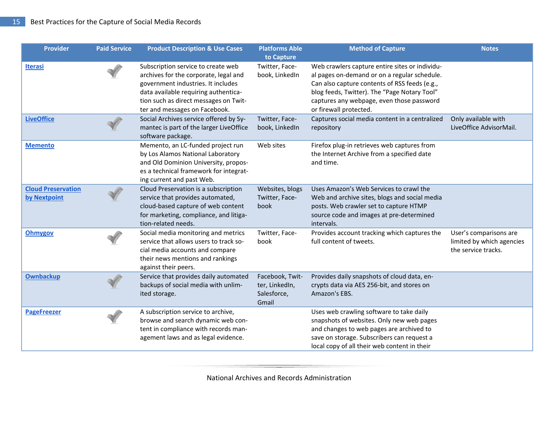| <b>Provider</b>                           | <b>Paid Service</b> | <b>Product Description &amp; Use Cases</b>                                                                                                                                                                                          | <b>Platforms Able</b><br>to Capture                       | <b>Method of Capture</b>                                                                                                                                                                                                                                               | <b>Notes</b>                                                               |
|-------------------------------------------|---------------------|-------------------------------------------------------------------------------------------------------------------------------------------------------------------------------------------------------------------------------------|-----------------------------------------------------------|------------------------------------------------------------------------------------------------------------------------------------------------------------------------------------------------------------------------------------------------------------------------|----------------------------------------------------------------------------|
| <b>Iterasi</b>                            |                     | Subscription service to create web<br>archives for the corporate, legal and<br>government industries. It includes<br>data available requiring authentica-<br>tion such as direct messages on Twit-<br>ter and messages on Facebook. | Twitter, Face-<br>book, LinkedIn                          | Web crawlers capture entire sites or individu-<br>al pages on-demand or on a regular schedule.<br>Can also capture contents of RSS feeds (e.g.,<br>blog feeds, Twitter). The "Page Notary Tool"<br>captures any webpage, even those password<br>or firewall protected. |                                                                            |
| <b>LiveOffice</b>                         |                     | Social Archives service offered by Sy-<br>mantec is part of the larger LiveOffice<br>software package.                                                                                                                              | Twitter, Face-<br>book, LinkedIn                          | Captures social media content in a centralized<br>repository                                                                                                                                                                                                           | Only available with<br>LiveOffice AdvisorMail.                             |
| <b>Memento</b>                            |                     | Memento, an LC-funded project run<br>by Los Alamos National Laboratory<br>and Old Dominion University, propos-<br>es a technical framework for integrat-<br>ing current and past Web.                                               | Web sites                                                 | Firefox plug-in retrieves web captures from<br>the Internet Archive from a specified date<br>and time.                                                                                                                                                                 |                                                                            |
| <b>Cloud Preservation</b><br>by Nextpoint |                     | Cloud Preservation is a subscription<br>service that provides automated,<br>cloud-based capture of web content<br>for marketing, compliance, and litiga-<br>tion-related needs.                                                     | Websites, blogs<br>Twitter, Face-<br>book                 | Uses Amazon's Web Services to crawl the<br>Web and archive sites, blogs and social media<br>posts. Web crawler set to capture HTMP<br>source code and images at pre-determined<br>intervals.                                                                           |                                                                            |
| <b>Ohmygov</b>                            |                     | Social media monitoring and metrics<br>service that allows users to track so-<br>cial media accounts and compare<br>their news mentions and rankings<br>against their peers.                                                        | Twitter, Face-<br>book                                    | Provides account tracking which captures the<br>full content of tweets.                                                                                                                                                                                                | User's comparisons are<br>limited by which agencies<br>the service tracks. |
| <b>Ownbackup</b>                          |                     | Service that provides daily automated<br>backups of social media with unlim-<br>ited storage.                                                                                                                                       | Facebook, Twit-<br>ter, LinkedIn,<br>Salesforce,<br>Gmail | Provides daily snapshots of cloud data, en-<br>crypts data via AES 256-bit, and stores on<br>Amazon's EBS.                                                                                                                                                             |                                                                            |
| <b>PageFreezer</b>                        |                     | A subscription service to archive,<br>browse and search dynamic web con-<br>tent in compliance with records man-<br>agement laws and as legal evidence.                                                                             |                                                           | Uses web crawling software to take daily<br>snapshots of websites. Only new web pages<br>and changes to web pages are archived to<br>save on storage. Subscribers can request a<br>local copy of all their web content in their                                        |                                                                            |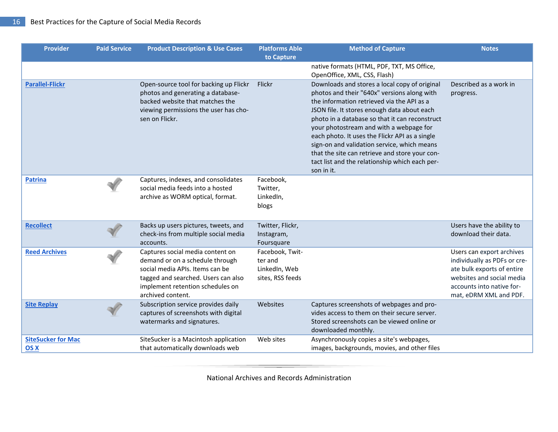| <b>Provider</b>                   | <b>Paid Service</b> | <b>Product Description &amp; Use Cases</b>                                                                                                                                                             | <b>Platforms Able</b><br>to Capture                             | <b>Method of Capture</b>                                                                                                                                                                                                                                                                                                                                                                                                                                                                                  | <b>Notes</b>                                                                                                                                                                |
|-----------------------------------|---------------------|--------------------------------------------------------------------------------------------------------------------------------------------------------------------------------------------------------|-----------------------------------------------------------------|-----------------------------------------------------------------------------------------------------------------------------------------------------------------------------------------------------------------------------------------------------------------------------------------------------------------------------------------------------------------------------------------------------------------------------------------------------------------------------------------------------------|-----------------------------------------------------------------------------------------------------------------------------------------------------------------------------|
|                                   |                     |                                                                                                                                                                                                        |                                                                 | native formats (HTML, PDF, TXT, MS Office,<br>OpenOffice, XML, CSS, Flash)                                                                                                                                                                                                                                                                                                                                                                                                                                |                                                                                                                                                                             |
| <b>Parallel-Flickr</b>            |                     | Open-source tool for backing up Flickr<br>photos and generating a database-<br>backed website that matches the<br>viewing permissions the user has cho-<br>sen on Flickr.                              | Flickr                                                          | Downloads and stores a local copy of original<br>photos and their "640x" versions along with<br>the information retrieved via the API as a<br>JSON file. It stores enough data about each<br>photo in a database so that it can reconstruct<br>your photostream and with a webpage for<br>each photo. It uses the Flickr API as a single<br>sign-on and validation service, which means<br>that the site can retrieve and store your con-<br>tact list and the relationship which each per-<br>son in it. | Described as a work in<br>progress.                                                                                                                                         |
| <b>Patrina</b>                    |                     | Captures, indexes, and consolidates<br>social media feeds into a hosted<br>archive as WORM optical, format.                                                                                            | Facebook,<br>Twitter,<br>LinkedIn,<br>blogs                     |                                                                                                                                                                                                                                                                                                                                                                                                                                                                                                           |                                                                                                                                                                             |
| <b>Recollect</b>                  |                     | Backs up users pictures, tweets, and<br>check-ins from multiple social media<br>accounts.                                                                                                              | Twitter, Flickr,<br>Instagram,<br>Foursquare                    |                                                                                                                                                                                                                                                                                                                                                                                                                                                                                                           | Users have the ability to<br>download their data.                                                                                                                           |
| <b>Reed Archives</b>              |                     | Captures social media content on<br>demand or on a schedule through<br>social media APIs. Items can be<br>tagged and searched. Users can also<br>implement retention schedules on<br>archived content. | Facebook, Twit-<br>ter and<br>LinkedIn, Web<br>sites, RSS feeds |                                                                                                                                                                                                                                                                                                                                                                                                                                                                                                           | Users can export archives<br>individually as PDFs or cre-<br>ate bulk exports of entire<br>websites and social media<br>accounts into native for-<br>mat, eDRM XML and PDF. |
| <b>Site Replay</b>                |                     | Subscription service provides daily<br>captures of screenshots with digital<br>watermarks and signatures.                                                                                              | Websites                                                        | Captures screenshots of webpages and pro-<br>vides access to them on their secure server.<br>Stored screenshots can be viewed online or<br>downloaded monthly.                                                                                                                                                                                                                                                                                                                                            |                                                                                                                                                                             |
| <b>SiteSucker for Mac</b><br>OS X |                     | SiteSucker is a Macintosh application<br>that automatically downloads web                                                                                                                              | Web sites                                                       | Asynchronously copies a site's webpages,<br>images, backgrounds, movies, and other files                                                                                                                                                                                                                                                                                                                                                                                                                  |                                                                                                                                                                             |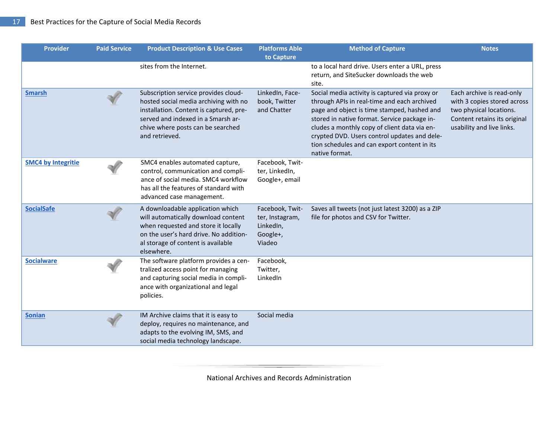| <b>Provider</b>           | <b>Paid Service</b> | <b>Product Description &amp; Use Cases</b>                                                                                                                                                                            | <b>Platforms Able</b><br>to Capture                                   | <b>Method of Capture</b>                                                                                                                                                                                                                                                                                                                                       | <b>Notes</b>                                                                                                                                     |
|---------------------------|---------------------|-----------------------------------------------------------------------------------------------------------------------------------------------------------------------------------------------------------------------|-----------------------------------------------------------------------|----------------------------------------------------------------------------------------------------------------------------------------------------------------------------------------------------------------------------------------------------------------------------------------------------------------------------------------------------------------|--------------------------------------------------------------------------------------------------------------------------------------------------|
|                           |                     | sites from the Internet.                                                                                                                                                                                              |                                                                       | to a local hard drive. Users enter a URL, press<br>return, and SiteSucker downloads the web<br>site.                                                                                                                                                                                                                                                           |                                                                                                                                                  |
| <b>Smarsh</b>             |                     | Subscription service provides cloud-<br>hosted social media archiving with no<br>installation. Content is captured, pre-<br>served and indexed in a Smarsh ar-<br>chive where posts can be searched<br>and retrieved. | LinkedIn, Face-<br>book, Twitter<br>and Chatter                       | Social media activity is captured via proxy or<br>through APIs in real-time and each archived<br>page and object is time stamped, hashed and<br>stored in native format. Service package in-<br>cludes a monthly copy of client data via en-<br>crypted DVD. Users control updates and dele-<br>tion schedules and can export content in its<br>native format. | Each archive is read-only<br>with 3 copies stored across<br>two physical locations.<br>Content retains its original<br>usability and live links. |
| <b>SMC4 by Integritie</b> |                     | SMC4 enables automated capture,<br>control, communication and compli-<br>ance of social media. SMC4 workflow<br>has all the features of standard with<br>advanced case management.                                    | Facebook, Twit-<br>ter, LinkedIn,<br>Google+, email                   |                                                                                                                                                                                                                                                                                                                                                                |                                                                                                                                                  |
| <b>SocialSafe</b>         |                     | A downloadable application which<br>will automatically download content<br>when requested and store it locally<br>on the user's hard drive. No addition-<br>al storage of content is available<br>elsewhere.          | Facebook, Twit-<br>ter, Instagram,<br>LinkedIn,<br>Google+,<br>Viadeo | Saves all tweets (not just latest 3200) as a ZIP<br>file for photos and CSV for Twitter.                                                                                                                                                                                                                                                                       |                                                                                                                                                  |
| <b>Socialware</b>         |                     | The software platform provides a cen-<br>tralized access point for managing<br>and capturing social media in compli-<br>ance with organizational and legal<br>policies.                                               | Facebook,<br>Twitter,<br>LinkedIn                                     |                                                                                                                                                                                                                                                                                                                                                                |                                                                                                                                                  |
| <b>Sonian</b>             |                     | IM Archive claims that it is easy to<br>deploy, requires no maintenance, and<br>adapts to the evolving IM, SMS, and<br>social media technology landscape.                                                             | Social media                                                          |                                                                                                                                                                                                                                                                                                                                                                |                                                                                                                                                  |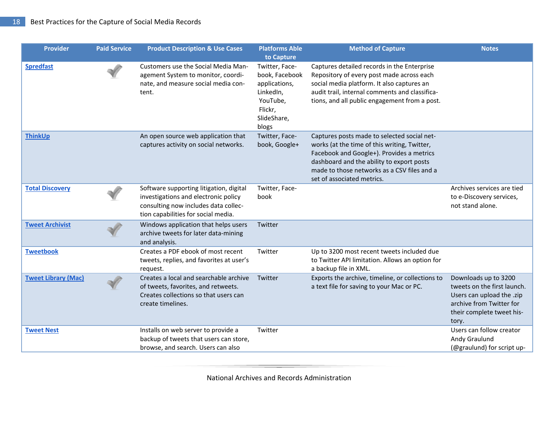| <b>Provider</b>            | <b>Paid Service</b> | <b>Product Description &amp; Use Cases</b>                                                                                                                     | <b>Platforms Able</b><br>to Capture                                                                           | <b>Method of Capture</b>                                                                                                                                                                                                                                           | <b>Notes</b>                                                                                                                                       |
|----------------------------|---------------------|----------------------------------------------------------------------------------------------------------------------------------------------------------------|---------------------------------------------------------------------------------------------------------------|--------------------------------------------------------------------------------------------------------------------------------------------------------------------------------------------------------------------------------------------------------------------|----------------------------------------------------------------------------------------------------------------------------------------------------|
| <b>Spredfast</b>           |                     | Customers use the Social Media Man-<br>agement System to monitor, coordi-<br>nate, and measure social media con-<br>tent.                                      | Twitter, Face-<br>book, Facebook<br>applications,<br>LinkedIn,<br>YouTube,<br>Flickr,<br>SlideShare,<br>blogs | Captures detailed records in the Enterprise<br>Repository of every post made across each<br>social media platform. It also captures an<br>audit trail, internal comments and classifica-<br>tions, and all public engagement from a post.                          |                                                                                                                                                    |
| <b>ThinkUp</b>             |                     | An open source web application that<br>captures activity on social networks.                                                                                   | Twitter, Face-<br>book, Google+                                                                               | Captures posts made to selected social net-<br>works (at the time of this writing, Twitter,<br>Facebook and Google+). Provides a metrics<br>dashboard and the ability to export posts<br>made to those networks as a CSV files and a<br>set of associated metrics. |                                                                                                                                                    |
| <b>Total Discovery</b>     |                     | Software supporting litigation, digital<br>investigations and electronic policy<br>consulting now includes data collec-<br>tion capabilities for social media. | Twitter, Face-<br>book                                                                                        |                                                                                                                                                                                                                                                                    | Archives services are tied<br>to e-Discovery services,<br>not stand alone.                                                                         |
| <b>Tweet Archivist</b>     |                     | Windows application that helps users<br>archive tweets for later data-mining<br>and analysis.                                                                  | Twitter                                                                                                       |                                                                                                                                                                                                                                                                    |                                                                                                                                                    |
| <b>Tweetbook</b>           |                     | Creates a PDF ebook of most recent<br>tweets, replies, and favorites at user's<br>request.                                                                     | Twitter                                                                                                       | Up to 3200 most recent tweets included due<br>to Twitter API limitation. Allows an option for<br>a backup file in XML.                                                                                                                                             |                                                                                                                                                    |
| <b>Tweet Library (Mac)</b> |                     | Creates a local and searchable archive<br>of tweets, favorites, and retweets.<br>Creates collections so that users can<br>create timelines.                    | Twitter                                                                                                       | Exports the archive, timeline, or collections to<br>a text file for saving to your Mac or PC.                                                                                                                                                                      | Downloads up to 3200<br>tweets on the first launch.<br>Users can upload the .zip<br>archive from Twitter for<br>their complete tweet his-<br>tory. |
| <b>Tweet Nest</b>          |                     | Installs on web server to provide a<br>backup of tweets that users can store,<br>browse, and search. Users can also                                            | Twitter                                                                                                       |                                                                                                                                                                                                                                                                    | Users can follow creator<br>Andy Graulund<br>(@graulund) for script up-                                                                            |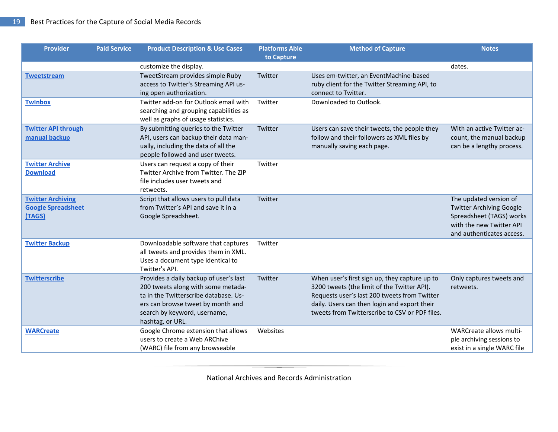| <b>Provider</b>                                                 | <b>Paid Service</b> | <b>Product Description &amp; Use Cases</b>                                                                                                                                                                     | <b>Platforms Able</b><br>to Capture | <b>Method of Capture</b>                                                                                                                                                                                                                       | <b>Notes</b>                                                                                                                                   |
|-----------------------------------------------------------------|---------------------|----------------------------------------------------------------------------------------------------------------------------------------------------------------------------------------------------------------|-------------------------------------|------------------------------------------------------------------------------------------------------------------------------------------------------------------------------------------------------------------------------------------------|------------------------------------------------------------------------------------------------------------------------------------------------|
|                                                                 |                     | customize the display.                                                                                                                                                                                         |                                     |                                                                                                                                                                                                                                                | dates.                                                                                                                                         |
| <b>Tweetstream</b>                                              |                     | TweetStream provides simple Ruby<br>access to Twitter's Streaming API us-<br>ing open authorization.                                                                                                           | Twitter                             | Uses em-twitter, an EventMachine-based<br>ruby client for the Twitter Streaming API, to<br>connect to Twitter.                                                                                                                                 |                                                                                                                                                |
| <b>Twinbox</b>                                                  |                     | Twitter add-on for Outlook email with<br>searching and grouping capabilities as<br>well as graphs of usage statistics.                                                                                         | Twitter                             | Downloaded to Outlook.                                                                                                                                                                                                                         |                                                                                                                                                |
| <b>Twitter API through</b><br>manual backup                     |                     | By submitting queries to the Twitter<br>API, users can backup their data man-<br>ually, including the data of all the<br>people followed and user tweets.                                                      | Twitter                             | Users can save their tweets, the people they<br>follow and their followers as XML files by<br>manually saving each page.                                                                                                                       | With an active Twitter ac-<br>count, the manual backup<br>can be a lengthy process.                                                            |
| <b>Twitter Archive</b><br><b>Download</b>                       |                     | Users can request a copy of their<br>Twitter Archive from Twitter. The ZIP<br>file includes user tweets and<br>retweets.                                                                                       | Twitter                             |                                                                                                                                                                                                                                                |                                                                                                                                                |
| <b>Twitter Archiving</b><br><b>Google Spreadsheet</b><br>(TAGS) |                     | Script that allows users to pull data<br>from Twitter's API and save it in a<br>Google Spreadsheet.                                                                                                            | Twitter                             |                                                                                                                                                                                                                                                | The updated version of<br><b>Twitter Archiving Google</b><br>Spreadsheet (TAGS) works<br>with the new Twitter API<br>and authenticates access. |
| <b>Twitter Backup</b>                                           |                     | Downloadable software that captures<br>all tweets and provides them in XML.<br>Uses a document type identical to<br>Twitter's API.                                                                             | Twitter                             |                                                                                                                                                                                                                                                |                                                                                                                                                |
| <b>Twitterscribe</b>                                            |                     | Provides a daily backup of user's last<br>200 tweets along with some metada-<br>ta in the Twitterscribe database. Us-<br>ers can browse tweet by month and<br>search by keyword, username,<br>hashtag, or URL. | Twitter                             | When user's first sign up, they capture up to<br>3200 tweets (the limit of the Twitter API).<br>Requests user's last 200 tweets from Twitter<br>daily. Users can then login and export their<br>tweets from Twitterscribe to CSV or PDF files. | Only captures tweets and<br>retweets.                                                                                                          |
| <b>WARCreate</b>                                                |                     | Google Chrome extension that allows<br>users to create a Web ARChive<br>(WARC) file from any browseable                                                                                                        | Websites                            |                                                                                                                                                                                                                                                | WARCreate allows multi-<br>ple archiving sessions to<br>exist in a single WARC file                                                            |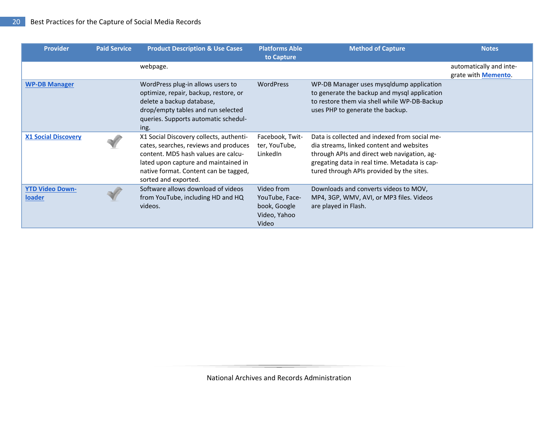| <b>Provider</b>                  | <b>Paid Service</b> | <b>Product Description &amp; Use Cases</b>                                                                                                                                                                                       | <b>Platforms Able</b><br>to Capture                                   | <b>Method of Capture</b>                                                                                                                                                                                                               | <b>Notes</b>                                           |
|----------------------------------|---------------------|----------------------------------------------------------------------------------------------------------------------------------------------------------------------------------------------------------------------------------|-----------------------------------------------------------------------|----------------------------------------------------------------------------------------------------------------------------------------------------------------------------------------------------------------------------------------|--------------------------------------------------------|
|                                  |                     | webpage.                                                                                                                                                                                                                         |                                                                       |                                                                                                                                                                                                                                        | automatically and inte-<br>grate with <b>Memento</b> . |
| <b>WP-DB Manager</b>             |                     | WordPress plug-in allows users to<br>optimize, repair, backup, restore, or<br>delete a backup database,<br>drop/empty tables and run selected<br>queries. Supports automatic schedul-<br>ing.                                    | <b>WordPress</b>                                                      | WP-DB Manager uses mysqldump application<br>to generate the backup and mysql application<br>to restore them via shell while WP-DB-Backup<br>uses PHP to generate the backup.                                                           |                                                        |
| <b>X1 Social Discovery</b>       |                     | X1 Social Discovery collects, authenti-<br>cates, searches, reviews and produces<br>content. MD5 hash values are calcu-<br>lated upon capture and maintained in<br>native format. Content can be tagged,<br>sorted and exported. | Facebook, Twit-<br>ter, YouTube,<br>LinkedIn                          | Data is collected and indexed from social me-<br>dia streams, linked content and websites<br>through APIs and direct web navigation, ag-<br>gregating data in real time. Metadata is cap-<br>tured through APIs provided by the sites. |                                                        |
| <b>YTD Video Down-</b><br>loader |                     | Software allows download of videos<br>from YouTube, including HD and HQ<br>videos.                                                                                                                                               | Video from<br>YouTube, Face-<br>book, Google<br>Video, Yahoo<br>Video | Downloads and converts videos to MOV,<br>MP4, 3GP, WMV, AVI, or MP3 files. Videos<br>are played in Flash.                                                                                                                              |                                                        |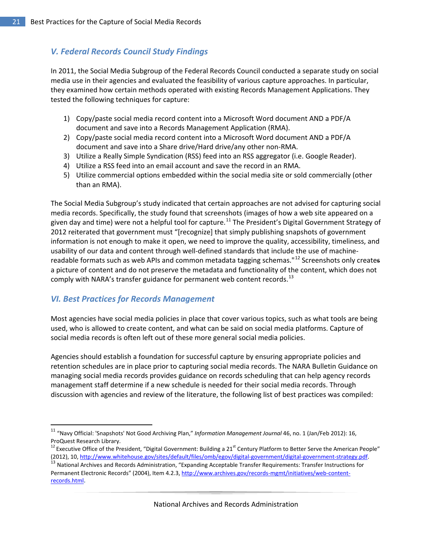# <span id="page-20-0"></span>*V. Federal Records Council Study Findings*

In 2011, the Social Media Subgroup of the Federal Records Council conducted a separate study on social media use in their agencies and evaluated the feasibility of various capture approaches. In particular, they examined how certain methods operated with existing Records Management Applications. They tested the following techniques for capture:

- 1) Copy/paste social media record content into a Microsoft Word document AND a PDF/A document and save into a Records Management Application (RMA).
- 2) Copy/paste social media record content into a Microsoft Word document AND a PDF/A document and save into a Share drive/Hard drive/any other non-RMA.
- 3) Utilize a Really Simple Syndication (RSS) feed into an RSS aggregator (i.e. Google Reader).
- 4) Utilize a RSS feed into an email account and save the record in an RMA.
- 5) Utilize commercial options embedded within the social media site or sold commercially (other than an RMA).

The Social Media Subgroup's study indicated that certain approaches are not advised for capturing social media records. Specifically, the study found that screenshots (images of how a web site appeared on a given day and time) were not a helpful tool for capture.<sup>[11](#page-20-2)</sup> The President's Digital Government Strategy of 2012 reiterated that government must "[recognize] that simply publishing snapshots of government information is not enough to make it open, we need to improve the quality, accessibility, timeliness, and usability of our data and content through well-defined standards that include the use of machine-readable formats such as web APIs and common metadata tagging schemas."<sup>[12](#page-20-3)</sup> Screenshots only creates a picture of content and do not preserve the metadata and functionality of the content, which does not comply with NARA's transfer guidance for permanent web content records.<sup>[13](#page-20-4)</sup>

## <span id="page-20-1"></span>*VI. Best Practices for Records Management*

 $\overline{\phantom{a}}$ 

Most agencies have social media policies in place that cover various topics, such as what tools are being used, who is allowed to create content, and what can be said on social media platforms. Capture of social media records is often left out of these more general social media policies.

Agencies should establish a foundation for successful capture by ensuring appropriate policies and retention schedules are in place prior to capturing social media records. The NARA Bulletin Guidance on managing social media records provides guidance on records scheduling that can help agency records management staff determine if a new schedule is needed for their social media records. Through discussion with agencies and review of the literature, the following list of best practices was compiled:

<span id="page-20-2"></span><sup>11</sup> "Navy Official: 'Snapshots' Not Good Archiving Plan," *Information Management Journal* 46, no. 1 (Jan/Feb 2012): 16, ProQuest Research Library.

<span id="page-20-3"></span><sup>&</sup>lt;sup>12</sup> Executive Office of the President, "Digital Government: Building a 21<sup>st</sup> Century Platform to Better Serve the American People"<br>(2012), 10, http://www.whitehouse.gov/sites/default/files/omb/egov/digital-government/di

<span id="page-20-4"></span><sup>&</sup>lt;sup>13</sup> National Archives and Records Administration, "Expanding Acceptable Transfer Requirements: Transfer Instructions for Permanent Electronic Records" (2004), Item 4.2.3[, http://www.archives.gov/records-mgmt/initiatives/web-content](http://www.archives.gov/records-mgmt/initiatives/web-content-records.html)[records.html](http://www.archives.gov/records-mgmt/initiatives/web-content-records.html)**.**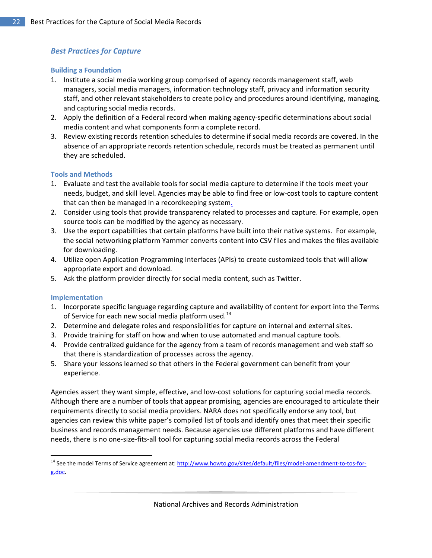### <span id="page-21-0"></span>*Best Practices for Capture*

#### **Building a Foundation**

- 1. Institute a social media working group comprised of agency records management staff, web managers, social media managers, information technology staff, privacy and information security staff, and other relevant stakeholders to create policy and procedures around identifying, managing, and capturing social media records.
- 2. Apply the definition of a Federal record when making agency-specific determinations about social media content and what components form a complete record.
- 3. Review existing records retention schedules to determine if social media records are covered. In the absence of an appropriate records retention schedule, records must be treated as permanent until they are scheduled.

#### <span id="page-21-1"></span>**Tools and Methods**

- 1. Evaluate and test the available tools for social media capture to determine if the tools meet your needs, budget, and skill level. Agencies may be able to find free or low-cost tools to capture content that can then be managed in a recordkeeping system.
- 2. Consider using tools that provide transparency related to processes and capture. For example, open source tools can be modified by the agency as necessary.
- 3. Use the export capabilities that certain platforms have built into their native systems. For example, the social networking platform Yammer converts content into CSV files and makes the files available for downloading.
- 4. Utilize open Application Programming Interfaces (APIs) to create customized tools that will allow appropriate export and download.
- <span id="page-21-2"></span>5. Ask the platform provider directly for social media content, such as Twitter.

#### **Implementation**

 $\overline{\phantom{a}}$ 

- 1. Incorporate specific language regarding capture and availability of content for export into the Terms of Service for each new social media platform used.<sup>14</sup>
- 2. Determine and delegate roles and responsibilities for capture on internal and external sites.
- 3. Provide training for staff on how and when to use automated and manual capture tools.
- 4. Provide centralized guidance for the agency from a team of records management and web staff so that there is standardization of processes across the agency.
- 5. Share your lessons learned so that others in the Federal government can benefit from your experience.

Agencies assert they want simple, effective, and low-cost solutions for capturing social media records. Although there are a number of tools that appear promising, agencies are encouraged to articulate their requirements directly to social media providers. NARA does not specifically endorse any tool, but agencies can review this white paper's compiled list of tools and identify ones that meet their specific business and records management needs. Because agencies use different platforms and have different needs, there is no one-size-fits-all tool for capturing social media records across the Federal

<span id="page-21-3"></span><sup>&</sup>lt;sup>14</sup> See the model Terms of Service agreement at: [http://www.howto.gov/sites/default/files/model-amendment-to-tos-for](http://www.howto.gov/sites/default/files/model-amendment-to-tos-for-g.doc)[g.doc.](http://www.howto.gov/sites/default/files/model-amendment-to-tos-for-g.doc)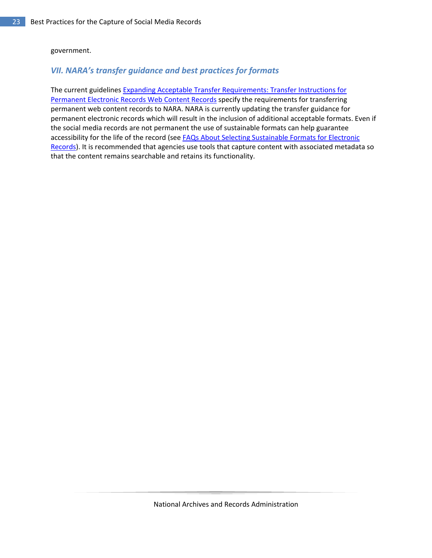#### government.

#### <span id="page-22-0"></span>*VII. NARA's transfer guidance and best practices for formats*

<span id="page-22-1"></span>The current guidelines [Expanding Acceptable Transfer Requirements: Transfer Instructions for](http://www.archives.gov/records-mgmt/initiatives/web-content-records.html)  [Permanent Electronic Records Web Content Records](http://www.archives.gov/records-mgmt/initiatives/web-content-records.html) specify the requirements for transferring permanent web content records to NARA. NARA is currently updating the transfer guidance for permanent electronic records which will result in the inclusion of additional acceptable formats. Even if the social media records are not permanent the use of sustainable formats can help guarantee accessibility for the life of the record (see FAQs About Selecting Sustainable Formats for Electronic [Records\)](http://www.archives.gov/records-mgmt/initiatives/sustainable-faq.html). It is recommended that agencies use tools that capture content with associated metadata so that the content remains searchable and retains its functionality.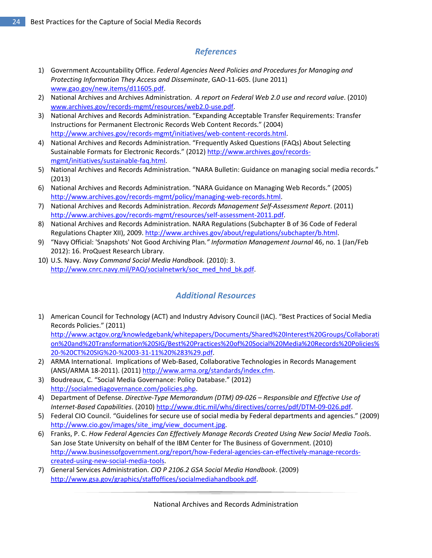## *References*

- 1) Government Accountability Office. *Federal Agencies Need Policies and Procedures for Managing and Protecting Information They Access and Disseminate*, GAO-11-605. (June 2011) [www.gao.gov/new.items/d11605.pdf.](http://www.gao.gov/new.items/d11605.pdf)
- 2) National Archives and Archives Administration. *A report on Federal Web 2.0 use and record value*. (2010) [www.archives.gov/records-mgmt/resources/web2.0-use.pdf.](http://www.archives.gov/records-mgmt/resources/web2.0-use.pdf)
- 3) National Archives and Records Administration. "Expanding Acceptable Transfer Requirements: Transfer Instructions for Permanent Electronic Records Web Content Records." (2004) [http://www.archives.gov/records-mgmt/initiatives/web-content-records.html.](http://www.archives.gov/records-mgmt/initiatives/web-content-records.html)
- 4) National Archives and Records Administration. "Frequently Asked Questions (FAQs) About Selecting Sustainable Formats for Electronic Records." (2012) [http://www.archives.gov/records](http://www.archives.gov/records-mgmt/initiatives/sustainable-faq.html)[mgmt/initiatives/sustainable-faq.html.](http://www.archives.gov/records-mgmt/initiatives/sustainable-faq.html)
- 5) National Archives and Records Administration. "NARA Bulletin: Guidance on managing social media records." (2013)
- 6) National Archives and Records Administration. "NARA Guidance on Managing Web Records." (2005) [http://www.archives.gov/records-mgmt/policy/managing-web-records.html.](http://www.archives.gov/records-mgmt/policy/managing-web-records.html)
- 7) National Archives and Records Administration. *Records Management Self-Assessment Report*. (2011) [http://www.archives.gov/records-mgmt/resources/self-assessment-2011.pdf.](http://www.archives.gov/records-mgmt/resources/self-assessment-2011.pdf)
- 8) National Archives and Records Administration. NARA Regulations (Subchapter B of 36 Code of Federal Regulations Chapter XII), 2009. [http://www.archives.gov/about/regulations/subchapter/b.html.](http://www.archives.gov/about/regulations/subchapter/b.html)
- 9) "Navy Official: 'Snapshots' Not Good Archiving Plan*." Information Management Journal* 46, no. 1 (Jan/Feb 2012): 16. ProQuest Research Library.
- <span id="page-23-0"></span>10) U.S. Navy. *Navy Command Social Media Handbook.* (2010): 3. [http://www.cnrc.navy.mil/PAO/socialnetwrk/soc\\_med\\_hnd\\_bk.pdf.](http://www.cnrc.navy.mil/PAO/socialnetwrk/soc_med_hnd_bk.pdf)

## *Additional Resources*

1) American Council for Technology (ACT) and Industry Advisory Council (IAC). "Best Practices of Social Media Records Policies." (2011)

[http://www.actgov.org/knowledgebank/whitepapers/Documents/Shared%20Interest%20Groups/Collaborati](http://www.actgov.org/knowledgebank/whitepapers/Documents/Shared%20Interest%20Groups/Collaboration%20and%20Transformation%20SIG) [on%20and%20Transformation%20SIG/Best%20Practices%20of%20Social%20Media%20Records%20Policies%](http://www.actgov.org/knowledgebank/whitepapers/Documents/Shared%20Interest%20Groups/Collaboration%20and%20Transformation%20SIG) [20-%20CT%20SIG%20-%2003-31-11%20%283%29.pdf.](http://www.actgov.org/knowledgebank/whitepapers/Documents/Shared%20Interest%20Groups/Collaboration%20and%20Transformation%20SIG)

- 2) ARMA International. Implications of Web-Based, Collaborative Technologies in Records Management (ANSI/ARMA 18-2011). (2011) [http://www.arma.org/standards/index.cfm.](http://www.arma.org/standards/index.cfm)
- 3) Boudreaux, C. "Social Media Governance: Policy Database." (2012) [http://socialmediagovernance.com/policies.php.](http://socialmediagovernance.com/policies.php)
- 4) Department of Defense. *Directive-Type Memorandum (DTM) 09-026 Responsible and Effective Use of Internet-Based Capabilities*. (2010[\) http://www.dtic.mil/whs/directives/corres/pdf/DTM-09-026.pdf.](http://www.dtic.mil/whs/directives/corres/pdf/DTM-09-026.pdf)
- 5) Federal CIO Council. "Guidelines for secure use of social media by Federal departments and agencies." (2009) http://www.cio.gov/images/site\_img/view\_document.jpg.
- 6) Franks, P. C. *How Federal Agencies Can Effectively Manage Records Created Using New Social Media Tool*s. San Jose State University on behalf of the IBM Center for The Business of Government. (2010) [http://www.businessofgovernment.org/report/how-Federal-agencies-can-effectively-manage-records](http://www.businessofgovernment.org/report/how-federal-agencies-can-effectively-manage-records-created-using-new-social-media-t)[created-using-new-social-media-tools.](http://www.businessofgovernment.org/report/how-federal-agencies-can-effectively-manage-records-created-using-new-social-media-t)
- 7) General Services Administration. *CIO P 2106.2 GSA Social Media Handbook*. (2009) [http://www.gsa.gov/graphics/staffoffices/socialmediahandbook.pdf.](http://www.gsa.gov/graphics/staffoffices/socialmediahandbook.pdf)